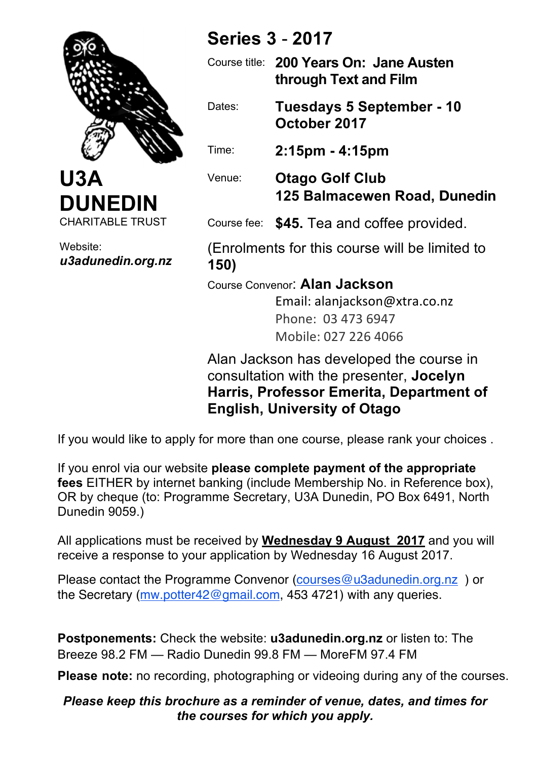



Website: *u3adunedin.org.nz*

# **Series 3** - **2017**

Course title: **200 Years On: Jane Austen through Text and Film** Dates: **Tuesdays 5 September - 10 October 2017** Time: **2:15pm - 4:15pm** Venue: **Otago Golf Club 125 Balmacewen Road, Dunedin** Course fee: **\$45.** Tea and coffee provided.

(Enrolments for this course will be limited to **150)**

Course Convenor: **Alan Jackson**

Email: alanjackson@xtra.co.nz Phone: 03 473 6947 Mobile: 027 226 4066

Alan Jackson has developed the course in consultation with the presenter, **Jocelyn Harris, Professor Emerita, Department of English, University of Otago**

If you would like to apply for more than one course, please rank your choices .

If you enrol via our website **please complete payment of the appropriate fees** EITHER by internet banking (include Membership No. in Reference box), OR by cheque (to: Programme Secretary, U3A Dunedin, PO Box 6491, North Dunedin 9059.)

All applications must be received by **Wednesday 9 August 2017** and you will receive a response to your application by Wednesday 16 August 2017.

Please contact the Programme Convenor (courses@u3adunedin.org.nz ) or the Secretary (mw.potter42@gmail.com, 453 4721) with any queries.

**Postponements:** Check the website: **u3adunedin.org.nz** or listen to: The Breeze 98.2 FM — Radio Dunedin 99.8 FM — MoreFM 97.4 FM

**Please note:** no recording, photographing or videoing during any of the courses.

## *Please keep this brochure as a reminder of venue, dates, and times for the courses for which you apply.*